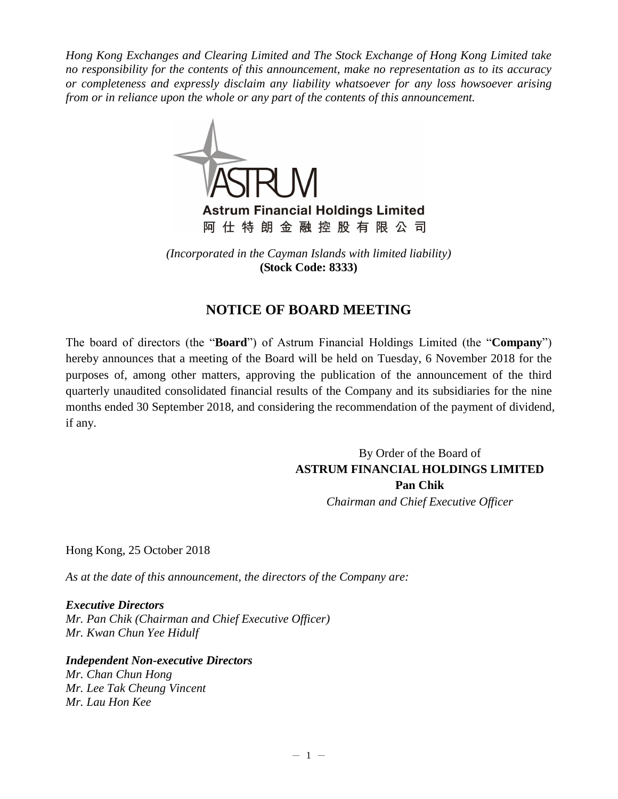*Hong Kong Exchanges and Clearing Limited and The Stock Exchange of Hong Kong Limited take no responsibility for the contents of this announcement, make no representation as to its accuracy or completeness and expressly disclaim any liability whatsoever for any loss howsoever arising from or in reliance upon the whole or any part of the contents of this announcement.*



**Astrum Financial Holdings Limited** 阿仕特朗金融控股有限公司

*(Incorporated in the Cayman Islands with limited liability)* **(Stock Code: 8333)**

## **NOTICE OF BOARD MEETING**

The board of directors (the "**Board**") of Astrum Financial Holdings Limited (the "**Company**") hereby announces that a meeting of the Board will be held on Tuesday, 6 November 2018 for the purposes of, among other matters, approving the publication of the announcement of the third quarterly unaudited consolidated financial results of the Company and its subsidiaries for the nine months ended 30 September 2018, and considering the recommendation of the payment of dividend, if any.

> By Order of the Board of **ASTRUM FINANCIAL HOLDINGS LIMITED Pan Chik** *Chairman and Chief Executive Officer*

Hong Kong, 25 October 2018

*As at the date of this announcement, the directors of the Company are:* 

*Executive Directors Mr. Pan Chik (Chairman and Chief Executive Officer) Mr. Kwan Chun Yee Hidulf*

*Independent Non-executive Directors Mr. Chan Chun Hong Mr. Lee Tak Cheung Vincent Mr. Lau Hon Kee*